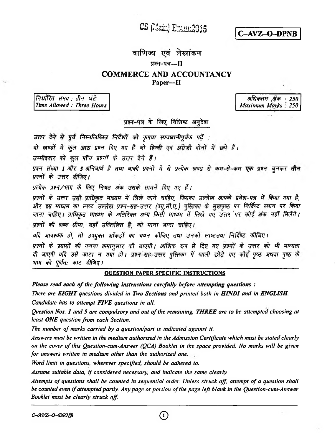CS (Main) Emmu2015

C-AVZ-O-DPNB

# वाणिज्य एवं लेखांकन

## प्रान-पत्र--II

## **COMMERCE AND ACCOUNTANCY** Paper-II

निर्धारित समय : तीन घंटे Time Allowed: Three Hours

अधिकतम अंक 250 Maximum Márks: 250

प्रश्न-पत्र के लिए विशिष्ट अनुदेश

उत्तर देने से पूर्व निम्नलिखित निर्देशों को कृपया सावधानीपूर्वक पढें :

<span id="page-0-0"></span>दो खण्डों में कुल आठ प्रश्न दिए गए हैं जो हिन्दी एवं अंग्रेजी दोनों में छपे हैं।

उम्मीदवार को कुल पाँच प्रश्नों के उत्तर देने हैं।

प्रश्न संख्या 1 और 5 अनिवार्य हैं तथा बाकी प्रश्नों में से प्रत्येक खण्ड से कम-से-कम एक प्रश्न चुनकर तीन प्रश्नों के उत्तर दीजिए।

प्रत्येक प्रश्न/भाग के लिए नियत अंक उसके सामने दिए गए हैं।

प्रश्नों के उत्तर उसी प्राधिकृत माध्यम में लिखे जाने चाहिए, जिसका उल्लेख आपके प्रवेश-पत्र में किया गया है, और इस माध्यम का स्पष्ट उल्लेख प्रश्न-सह-उत्तर (क्यू.सी.ए.) पुस्तिका के मुखपृष्ठ पर निर्दिष्ट स्थान पर किया जाना चाहिए। प्राधिकृत माध्यम के अतिरिक्त अन्य किसी माध्यम में लिखे गए उत्तर पर कोई अंक नहीं मिलेंगे। प्रश्नों की शब्द सीमा, जहाँ उल्लिखित है, को माना जाना चाहिए।

<span id="page-0-1"></span>गदि आवश्यक हो, तो उपयुक्त आँकड़ों का चयन कीजिए तथा उनको स्पष्टतया निर्दिष्ट कीजिए।

प्रश्नों के प्रयासों की गणना क्रमानुसार की जाएगी। आंशिक रूप से दिए गए प्रश्नों के उत्तर को भी मान्यता दी जाएगी यदि उसे काटा न गया हो। प्रश्न-सह-उत्तर पुस्तिका में खाली छोड़े गए कोई पुष्ठ अथवा पुष्ठ के भाग को पूर्णत: काट दीजिए।

## **OUESTION PAPER SPECIFIC INSTRUCTIONS**

Please read each of the following instructions carefully before attempting questions:

There are EIGHT questions divided in Two Sections and printed both in HINDI and in ENGLISH. Candidate has to attempt FIVE questions in all.

Question Nos. 1 and 5 are compulsory and out of the remaining, THREE are to be attempted choosing at least ONE question from each Section.

The number of marks carried by a question/part is indicated against it.

Answers must be written in the medium authorized in the Admission Certificate which must be stated clearly on the cover of this Question-cum-Answer (QCA) Booklet in the space provided. No marks will be given for answers written in medium other than the authorized one.

Word limit in questions, wherever specified, should be adhered to.

Assume suitable data, if considered necessary, and indicate the same clearly.

Attempts of questions shall be counted in sequential order. Unless struck off, attempt of a question shall be counted even if attempted partly. Any page or portion of the page left blank in the Question-cum-Answer Booklet must be clearly struck off.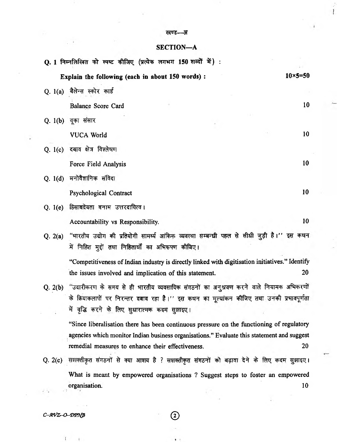#### **—3T**

 $\frac{1}{1}$ 

## **SECTION—A**

| Q. 1 निम्नलिखित को स्पष्ट कीजिए (प्रत्येक लगभग 150 शब्दों में) :                                                                                                                               |                   |  |
|------------------------------------------------------------------------------------------------------------------------------------------------------------------------------------------------|-------------------|--|
| Explain the following (each in about 150 words):                                                                                                                                               | $10\times 5 = 50$ |  |
| Q. 1(a) बैलेन्स स्कोर कार्ड                                                                                                                                                                    |                   |  |
| <b>Balance Score Card</b>                                                                                                                                                                      | 10                |  |
| वूका संसार<br>Q. 1(b)                                                                                                                                                                          |                   |  |
| <b>VUCA World</b>                                                                                                                                                                              | 10                |  |
| Q. 1(c) दबाव क्षेत्र विश्लेषण                                                                                                                                                                  |                   |  |
| Force Field Analysis                                                                                                                                                                           | 10                |  |
| मनोवैज्ञानिक संविदा<br>Q. 1(d)                                                                                                                                                                 |                   |  |
| Psychological Contract                                                                                                                                                                         | 10                |  |
| हिसाबद्रेयता बनाम उत्तरदायित्व।<br>Q. 1(e)                                                                                                                                                     |                   |  |
| Accountability vs Responsibility.                                                                                                                                                              | 10                |  |
| "भारतीय उद्योग की प्रतियोगी सामर्थ्य आंकिक व्यवस्था सम्बन्धी पहल से सीधी जुड़ी है।'' इस कथन<br>Q. 2(a)                                                                                         |                   |  |
| में निहित मुद्दों तथा निहितार्यों का अभिरूपण कीजिए।                                                                                                                                            |                   |  |
| "Competitiveness of Indian industry is directly linked with digitisation initiatives." Identify                                                                                                |                   |  |
| the issues involved and implication of this statement.                                                                                                                                         | 20                |  |
| "उदारीकरण के समय से ही भारतीय व्यवसायिक संगठनों का अनुश्रवण करने वाले नियामक अभिकरणों<br>Q. 2(b)<br>के क्रियाकलापों पर निरन्तर दबाव रहा है।'' इस कथन का मूल्यांकन कीजिए तथा उनकी प्रभावपूर्णता |                   |  |
| में वृद्धि करने के लिए सुधारात्मक कदम सुझाइए।                                                                                                                                                  |                   |  |
| "Since liberalisation there has been continuous pressure on the functioning of regulatory                                                                                                      |                   |  |
| agencies which monitor Indian business organisations." Evaluate this statement and suggest                                                                                                     |                   |  |
| remedial measures to enhance their effectiveness.                                                                                                                                              | <b>20</b>         |  |
| सशक्तीकृत संगठनों से क्या आशय है ? सशक्तीकृत संगठनों को बढ़ावा देने के लिए कदम सुझाइए।<br>Q. 2(c)                                                                                              |                   |  |

**What is meant by empowered organisations ? Suggest steps to foster an empowered organisation.** 10

*C-AVZr-Q-ZmgB* **®**

 $\mathfrak{f}$ 

 $\frac{1}{2}$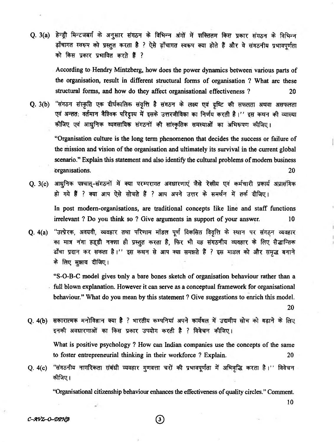Q. 3(a) हेन्ड्री मिन्टजबर्ग के अनुसार संगठन के विभिन्न अंगों में शक्तितम किस प्रकार संगठन के विभिन्न ढ़ाँचागत स्वरूप को प्रस्तुत करता है ? ऐसे ढ़ाँचागत स्वरूप क्या होते हैं और वे संगठनीय प्रभावपूर्णता **को किस प्रकार प्रभावित करते हैं ?** 

**According to Hendry Mintzberg, how does the power dynamics between various parts of the organisation, result in different structural forms of organisation ? What are these structural forms, and how do they affect organisational effectiveness ? 20**

Q. 3(b) "संगठन संस्कृति एक दीर्घकालिक संवृत्ति है संगठन के लक्ष्य एवं दृष्टि की सफलता अथवा असफलता एवं अन्तत: वर्तमान वैश्विक परिदृश्य में इसके उत्तरजीविका का निर्णय करती है।'' इस कथन की व्याख्या कीजिए एवं आधुनिक व्यवसायिक संगठनों की सांस्कृतिक समस्याओं का अभिरूपण कीजिए।

**"Organisation culture is the long term phenomenon that decides the success or failure of the mission and vision of the organisation and ultimately its survival in the current global scenario." Explain this statement and also identify the cultural problems of modem business Organisations. 20**

Q. 3(c) आधुनिक पश्चात्-संगठनों में क्या परम्परागत अवधारणाएं जैसे रेखीय एवं कर्मचारी प्रकार्य अप्रासंगिक हो गये हैं ? क्या आप ऐसे सोचते हैं ? आप अपने उत्तर के समर्थन में तर्क दीजिए।

**In post modern-organisations, are traditional concepts like line and staff functions irrelevant ? Do you think so ? Give arguments in support of your answer. 10**

Q. 4(a) "उत्प्रेरक, अवयवी, व्यवहार तथा परिणाम मॉडल पूर्ण विकसित विवृत्ति के स्थान पर संगठन व्यवहार का मात्र नंगा हड्डी नक्शा ही प्रस्तुत करता है, फिर भी यह संगठनीय व्यवहार के लिए सैद्धान्तिक ढाँचा प्रदान कर सकता है।'' इस कथन से आप क्या समझते हैं ? इस माडल को और समृद्ध बनाने के लिए सुझाव दीजिए।

**"S-O-B-C model gives Only a bare bones sketch of organisation behaviour rather than a full blown explanation. However it can serve as a conceptual framework for organisational behaviour." What do you mean by this statement ? Give suggestions to enrich this model.**

**20**

**10**

Q. 4(b) सकारात्मक मनोविज्ञान क्या है ? भारतीय कम्पनियां अपने कार्यबल में उद्यमीय सोच को बढ़ाने के लिए इनकी अवधारणाओं का किस प्रकार उपयोग करती है ? विवेचन कीजिए।

**What is positive psychology ? How can Indian companies use the concepts of the same to foster entrepreneurial thinking in their workforce ? Explain. 20**

Q. 4(c) "संगठनीय नागरिकता संबंधी व्यवहार गुणवत्ता चरों की प्रभावपूर्णता में अभिवृद्धि करता है।'' विवेचन **^Prq; i**

**"Organisational citizenship behaviour enhances the effectiveness of quality circles." Comment.**

*C-AVZ-O-DPN*<sup>B</sup> (3)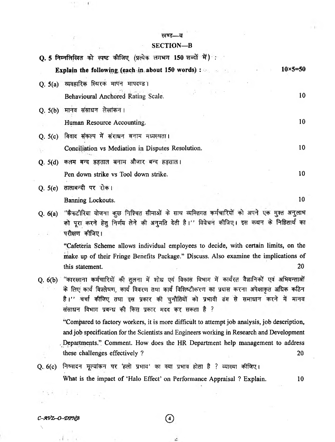#### खण्ड—ब

 $\overline{1}$ 

### **SECTION—B**

| <b>Q. 5 निम्नलिखित को स्पष्ट कीजिए (प्रत्येक लगभग 150 शब्दों में)</b> :                                                                                                                                       |
|---------------------------------------------------------------------------------------------------------------------------------------------------------------------------------------------------------------|
| $10\times 5 = 50$<br><b>Explain the following (each in about 150 words)</b> :                                                                                                                                 |
| Q. 5(a) व्यवहारिक स्थिरक मापने मापदण्ड।<br>10<br>Behavioural Anchored Rating Scale.                                                                                                                           |
| Q. 5(b) मानव संसाधन लेखांकन।                                                                                                                                                                                  |
| 10<br>Human Resource Accounting.                                                                                                                                                                              |
| Q. 5(c) विवाद संकल्प में संराधन बनाम मध्यस्थता।                                                                                                                                                               |
| 10<br>Conciliation vs Mediation in Disputes Resolution.                                                                                                                                                       |
| Q. 5(d) कलम बन्द हड़ताल बनाम औजार बन्द हड़ताल।                                                                                                                                                                |
| 10<br>Pen down strike vs Tool down strike.                                                                                                                                                                    |
| Q. 5(e) तालाबन्दी पर रोक।                                                                                                                                                                                     |
| 10<br>Banning Lockouts.                                                                                                                                                                                       |
| Q. 6(a) "कैफटीरिया योजना कुछ निश्चित सीमाओं के साथ व्यक्तिगत कर्मचारियों को अपने एक मुश्त अनुलाभ<br>को पूरा करने हेतु निर्णय लेने की अनुमति देती है।'' विवेचन कीजिए। इस कथन के निहितार्थ का<br>परीक्षण कीजिए। |
| "Cafeteria Scheme allows individual employees to decide, with certain limits, on the                                                                                                                          |
| make up of their Fringe Benefits Package." Discuss. Also examine the implications of<br>20<br>this statement.                                                                                                 |

Q. 6(b) "कारखाना कर्मचारियों की तुलना में शोध एवं विकास विभाग में कार्यरत वैज्ञानिकों एवं अभियन्ताओं के लिए कार्य विश्लेषण, कार्य विवरण तथा कार्य विशिष्टीकरण का प्रयास करना अपेक्षाकृत अधिक कठिन है।'' चर्चा कीजिए तथा इस प्रकार की चुनौतियों को प्रभावी ढंग से समाधान करने में मानव संसाधन विभाग प्रबन्ध की किस प्रकार मदद कर सकता है ?

**"Compared to factory workers, it is more difficult to attempt job analysis, job description, and job specification for the Scientists and Engineers working in Research and Development ^Departments " Comment. How does the HR Department help management to address these challenges effectively ?** 20

Q. 6(c) निष्पादन मूल्यांकन पर 'हलो प्रभाव' का क्या प्रभाव होता है ? व्याख्या कीजिए। **What is the impact of 'Halo Effect' on Performance Appraisal ? Explain. 10**

 $\mathbb{R}^n \times \mathbb{R}$ 

**\**